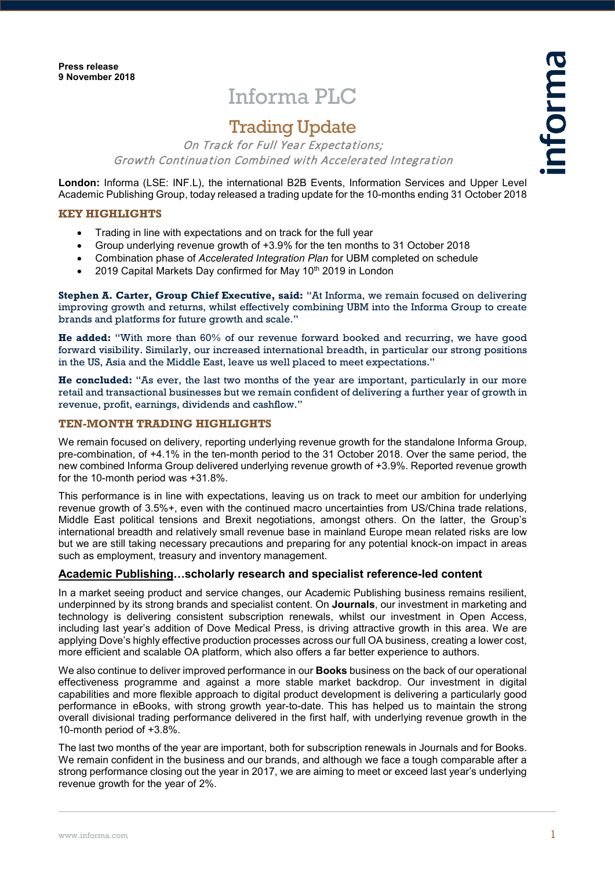# Informa PLC

# Trading Update

On Track for Full Year Expectations; Growth Continuation Combined with Accelerated Integration

**London:** Informa (LSE: INF.L), the international B2B Events, Information Services and Upper Level Academic Publishing Group, today released a trading update for the 10-months ending 31 October 2018

#### **KEY HIGHLIGHTS**

- Trading in line with expectations and on track for the full year
- Group underlying revenue growth of +3.9% for the ten months to 31 October 2018
- Combination phase of *Accelerated Integration Plan* for UBM completed on schedule
- 2019 Capital Markets Day confirmed for May 10th 2019 in London

**Stephen A. Carter, Group Chief Executive, said:** "At Informa, we remain focused on delivering improving growth and returns, whilst effectively combining UBM into the Informa Group to create brands and platforms for future growth and scale."

**He added:** "With more than 60% of our revenue forward booked and recurring, we have good forward visibility. Similarly, our increased international breadth, in particular our strong positions in the US, Asia and the Middle East, leave us well placed to meet expectations."

**He concluded:** "As ever, the last two months of the year are important, particularly in our more retail and transactional businesses but we remain confident of delivering a further year of growth in revenue, profit, earnings, dividends and cashflow."

### **TEN-MONTH TRADING HIGHLIGHTS**

We remain focused on delivery, reporting underlying revenue growth for the standalone Informa Group, pre-combination, of +4.1% in the ten-month period to the 31 October 2018. Over the same period, the new combined Informa Group delivered underlying revenue growth of +3.9%. Reported revenue growth for the 10-month period was +31.8%.

This performance is in line with expectations, leaving us on track to meet our ambition for underlying revenue growth of 3.5%+, even with the continued macro uncertainties from US/China trade relations, Middle East political tensions and Brexit negotiations, amongst others. On the latter, the Group's international breadth and relatively small revenue base in mainland Europe mean related risks are low but we are still taking necessary precautions and preparing for any potential knock-on impact in areas such as employment, treasury and inventory management.

# **Academic Publishing…scholarly research and specialist reference-led content**

In a market seeing product and service changes, our Academic Publishing business remains resilient, underpinned by its strong brands and specialist content. On **Journals**, our investment in marketing and technology is delivering consistent subscription renewals, whilst our investment in Open Access, including last year's addition of Dove Medical Press, is driving attractive growth in this area. We are applying Dove's highly effective production processes across our full OA business, creating a lower cost, more efficient and scalable OA platform, which also offers a far better experience to authors.

We also continue to deliver improved performance in our **Books** business on the back of our operational effectiveness programme and against a more stable market backdrop. Our investment in digital capabilities and more flexible approach to digital product development is delivering a particularly good performance in eBooks, with strong growth year-to-date. This has helped us to maintain the strong overall divisional trading performance delivered in the first half, with underlying revenue growth in the 10-month period of +3.8%.

The last two months of the year are important, both for subscription renewals in Journals and for Books. We remain confident in the business and our brands, and although we face a tough comparable after a strong performance closing out the year in 2017, we are aiming to meet or exceed last year's underlying revenue growth for the year of 2%.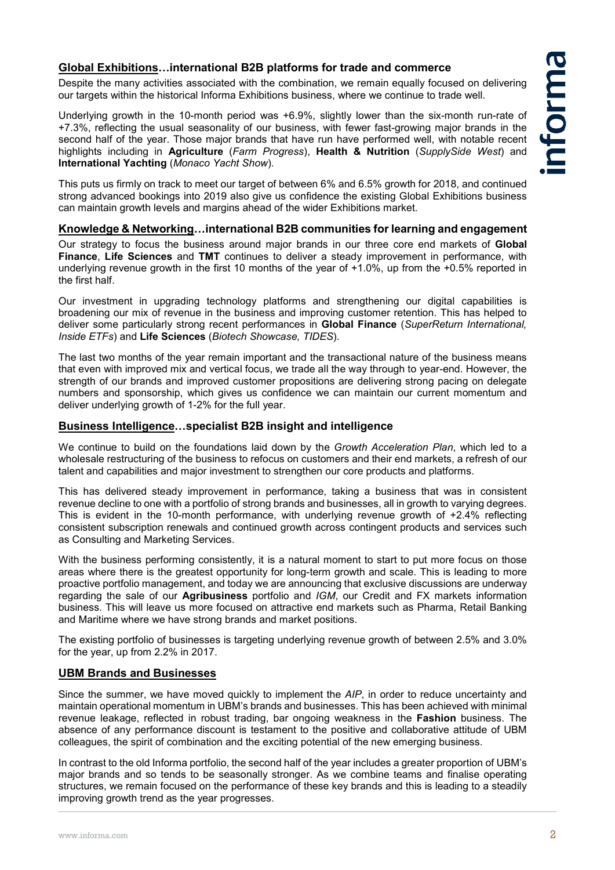# **Global Exhibitions…international B2B platforms for trade and commerce**

Despite the many activities associated with the combination, we remain equally focused on delivering our targets within the historical Informa Exhibitions business, where we continue to trade well.

Underlying growth in the 10-month period was +6.9%, slightly lower than the six-month run-rate of +7.3%, reflecting the usual seasonality of our business, with fewer fast-growing major brands in the second half of the year. Those major brands that have run have performed well, with notable recent highlights including in **Agriculture** (*Farm Progress*), **Health & Nutrition** (*SupplySide West*) and **International Yachting** (*Monaco Yacht Show*).

This puts us firmly on track to meet our target of between 6% and 6.5% growth for 2018, and continued strong advanced bookings into 2019 also give us confidence the existing Global Exhibitions business can maintain growth levels and margins ahead of the wider Exhibitions market.

#### **Knowledge & Networking…international B2B communities for learning and engagement**

Our strategy to focus the business around major brands in our three core end markets of **Global Finance**, **Life Sciences** and **TMT** continues to deliver a steady improvement in performance, with underlying revenue growth in the first 10 months of the year of +1.0%, up from the +0.5% reported in the first half.

Our investment in upgrading technology platforms and strengthening our digital capabilities is broadening our mix of revenue in the business and improving customer retention. This has helped to deliver some particularly strong recent performances in **Global Finance** (*SuperReturn International, Inside ETFs*) and **Life Sciences** (*Biotech Showcase, TIDES*).

The last two months of the year remain important and the transactional nature of the business means that even with improved mix and vertical focus, we trade all the way through to year-end. However, the strength of our brands and improved customer propositions are delivering strong pacing on delegate numbers and sponsorship, which gives us confidence we can maintain our current momentum and deliver underlying growth of 1-2% for the full year.

### **Business Intelligence…specialist B2B insight and intelligence**

We continue to build on the foundations laid down by the *Growth Acceleration Plan*, which led to a wholesale restructuring of the business to refocus on customers and their end markets, a refresh of our talent and capabilities and major investment to strengthen our core products and platforms.

This has delivered steady improvement in performance, taking a business that was in consistent revenue decline to one with a portfolio of strong brands and businesses, all in growth to varying degrees. This is evident in the 10-month performance, with underlying revenue growth of +2.4% reflecting consistent subscription renewals and continued growth across contingent products and services such as Consulting and Marketing Services.

With the business performing consistently, it is a natural moment to start to put more focus on those areas where there is the greatest opportunity for long-term growth and scale. This is leading to more proactive portfolio management, and today we are announcing that exclusive discussions are underway regarding the sale of our **Agribusiness** portfolio and *IGM*, our Credit and FX markets information business. This will leave us more focused on attractive end markets such as Pharma, Retail Banking and Maritime where we have strong brands and market positions.

The existing portfolio of businesses is targeting underlying revenue growth of between 2.5% and 3.0% for the year, up from 2.2% in 2017.

### **UBM Brands and Businesses**

Since the summer, we have moved quickly to implement the *AIP*, in order to reduce uncertainty and maintain operational momentum in UBM's brands and businesses. This has been achieved with minimal revenue leakage, reflected in robust trading, bar ongoing weakness in the **Fashion** business. The absence of any performance discount is testament to the positive and collaborative attitude of UBM colleagues, the spirit of combination and the exciting potential of the new emerging business.

In contrast to the old Informa portfolio, the second half of the year includes a greater proportion of UBM's major brands and so tends to be seasonally stronger. As we combine teams and finalise operating structures, we remain focused on the performance of these key brands and this is leading to a steadily improving growth trend as the year progresses.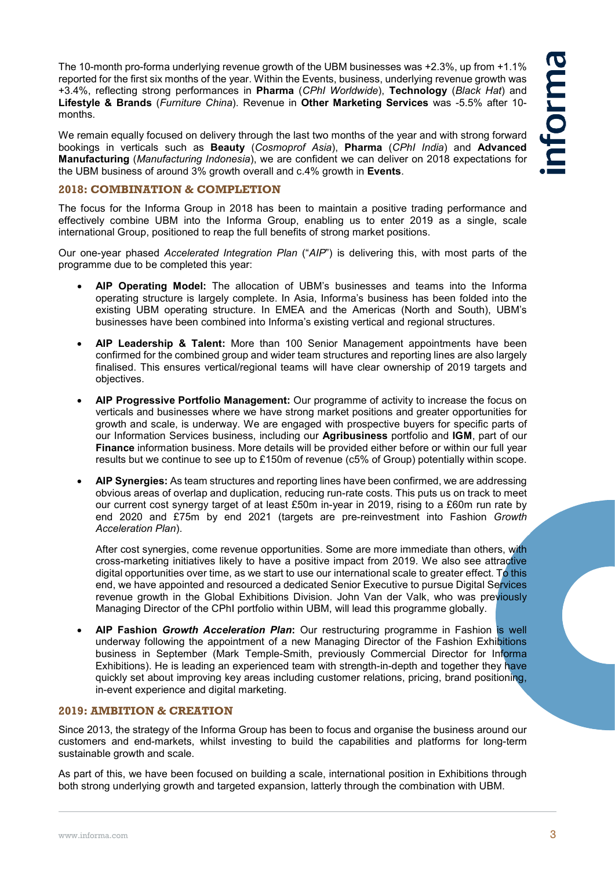The 10-month pro-forma underlying revenue growth of the UBM businesses was +2.3%, up from +1.1% reported for the first six months of the year. Within the Events, business, underlying revenue growth was +3.4%, reflecting strong performances in **Pharma** (*CPhI Worldwide*), **Technology** (*Black Hat*) and **Lifestyle & Brands** (*Furniture China*). Revenue in **Other Marketing Services** was -5.5% after 10 months.

We remain equally focused on delivery through the last two months of the year and with strong forward bookings in verticals such as **Beauty** (*Cosmoprof Asia*), **Pharma** (*CPhI India*) and **Advanced Manufacturing** (*Manufacturing Indonesia*), we are confident we can deliver on 2018 expectations for the UBM business of around 3% growth overall and c.4% growth in **Events**.

#### **2018: COMBINATION & COMPLETION**

The focus for the Informa Group in 2018 has been to maintain a positive trading performance and effectively combine UBM into the Informa Group, enabling us to enter 2019 as a single, scale international Group, positioned to reap the full benefits of strong market positions.

Our one-year phased *Accelerated Integration Plan* ("*AIP*") is delivering this, with most parts of the programme due to be completed this year:

- **AIP Operating Model:** The allocation of UBM's businesses and teams into the Informa operating structure is largely complete. In Asia, Informa's business has been folded into the existing UBM operating structure. In EMEA and the Americas (North and South), UBM's businesses have been combined into Informa's existing vertical and regional structures.
- **AIP Leadership & Talent:** More than 100 Senior Management appointments have been confirmed for the combined group and wider team structures and reporting lines are also largely finalised. This ensures vertical/regional teams will have clear ownership of 2019 targets and objectives.
- **AIP Progressive Portfolio Management:** Our programme of activity to increase the focus on verticals and businesses where we have strong market positions and greater opportunities for growth and scale, is underway. We are engaged with prospective buyers for specific parts of our Information Services business, including our **Agribusiness** portfolio and **IGM**, part of our **Finance** information business. More details will be provided either before or within our full year results but we continue to see up to £150m of revenue (c5% of Group) potentially within scope.
- **AIP Synergies:** As team structures and reporting lines have been confirmed, we are addressing obvious areas of overlap and duplication, reducing run-rate costs. This puts us on track to meet our current cost synergy target of at least £50m in-year in 2019, rising to a £60m run rate by end 2020 and £75m by end 2021 (targets are pre-reinvestment into Fashion *Growth Acceleration Plan*).

After cost synergies, come revenue opportunities. Some are more immediate than others, with cross-marketing initiatives likely to have a positive impact from 2019. We also see attractive digital opportunities over time, as we start to use our international scale to greater effect. To this end, we have appointed and resourced a dedicated Senior Executive to pursue Digital Services revenue growth in the Global Exhibitions Division. John Van der Valk, who was previously Managing Director of the CPhI portfolio within UBM, will lead this programme globally.

• **AIP Fashion** *Growth Acceleration Plan***:** Our restructuring programme in Fashion is well underway following the appointment of a new Managing Director of the Fashion Exhibitions business in September (Mark Temple-Smith, previously Commercial Director for Informa Exhibitions). He is leading an experienced team with strength-in-depth and together they have quickly set about improving key areas including customer relations, pricing, brand positioning, in-event experience and digital marketing.

# **2019: AMBITION & CREATION**

Since 2013, the strategy of the Informa Group has been to focus and organise the business around our customers and end-markets, whilst investing to build the capabilities and platforms for long-term sustainable growth and scale.

As part of this, we have been focused on building a scale, international position in Exhibitions through both strong underlying growth and targeted expansion, latterly through the combination with UBM.